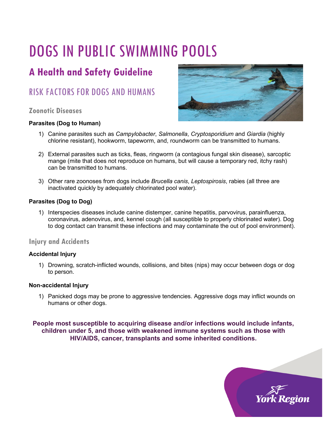# DOGS IN PUBLIC SWIMMING POOLS

# **A Health and Safety Guideline**

## RISK FACTORS FOR DOGS AND HUMANS

#### **Zoonotic Diseases**

#### **Parasites (Dog to Human)**



- 1) Canine parasites such as *Campylobacter*, *Salmonella*, *Cryptosporidium* and *Giardia* (highly chlorine resistant), hookworm, tapeworm, and, roundworm can be transmitted to humans.
- 2) External parasites such as ticks, fleas, ringworm (a contagious fungal skin disease), sarcoptic mange (mite that does not reproduce on humans, but will cause a temporary red, itchy rash) can be transmitted to humans.
- 3) Other rare zoonoses from dogs include *Brucella canis*, *Leptospirosis*, rabies (all three are inactivated quickly by adequately chlorinated pool water).

#### **Parasites (Dog to Dog)**

1) Interspecies diseases include canine distemper, canine hepatitis, parvovirus, parainfluenza, coronavirus, adenovirus, and, kennel cough (all susceptible to properly chlorinated water). Dog to dog contact can transmit these infections and may contaminate the out of pool environment).

#### **Injury and Accidents**

#### **Accidental Injury**

1) Drowning, scratch-inflicted wounds, collisions, and bites (nips) may occur between dogs or dog to person.

#### **Non-accidental Injury**

1) Panicked dogs may be prone to aggressive tendencies. Aggressive dogs may inflict wounds on humans or other dogs.

**People most susceptible to acquiring disease and/or infections would include infants, children under 5, and those with weakened immune systems such as those with HIV/AIDS, cancer, transplants and some inherited conditions.**

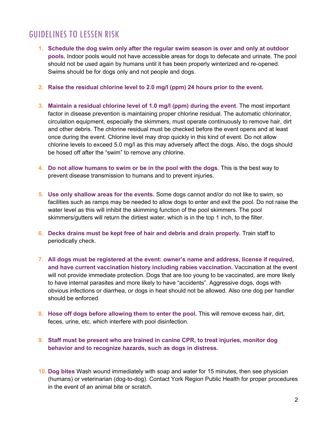### GUIDELINES TO LESSEN RISK

- **1. Schedule the dog swim only after the regular swim season is over and only at outdoor pools.** Indoor pools would not have accessible areas for dogs to defecate and urinate. The pool should not be used again by humans until it has been properly winterized and re-opened. Swims should be for dogs only and not people and dogs.
- **2. Raise the residual chlorine level to 2.0 mg/l (ppm) 24 hours prior to the event.**
- **3. Maintain a residual chlorine level of 1.0 mg/l (ppm) during the event**. The most important factor in disease prevention is maintaining proper chlorine residual. The automatic chlorinator, circulation equipment, especially the skimmers, must operate continuously to remove hair, dirt and other debris. The chlorine residual must be checked before the event opens and at least once during the event. Chlorine level may drop quickly in this kind of event. Do not allow chlorine levels to exceed 5.0 mg/l as this may adversely affect the dogs. Also, the dogs should be hosed off after the "swim" to remove any chlorine.
- **4. Do not allow humans to swim or be in the pool with the dogs**. This is the best way to prevent disease transmission to humans and to prevent injuries.
- **5. Use only shallow areas for the events.** Some dogs cannot and/or do not like to swim, so facilities such as ramps may be needed to allow dogs to enter and exit the pool. Do not raise the water level as this will inhibit the skimming function of the pool skimmers. The pool skimmers/gutters will return the dirtiest water, which is in the top 1 inch, to the filter.
- **6. Decks drains must be kept free of hair and debris and drain properly.** Train staff to periodically check.
- **7. All dogs must be registered at the event: owner's name and address, license if required, and have current vaccination history including rabies vaccination.** Vaccination at the event will not provide immediate protection. Dogs that are too young to be vaccinated, are more likely to have internal parasites and more likely to have "accidents". Aggressive dogs, dogs with obvious infections or diarrhea, or dogs in heat should not be allowed. Also one dog per handler should be enforced.
- **8. Hose off dogs before allowing them to enter the pool.** This will remove excess hair, dirt, feces, urine, etc. which interfere with pool disinfection.
- **9. Staff must be present who are trained in canine CPR, to treat injuries, monitor dog behavior and to recognize hazards, such as dogs in distress.**
- **10. Dog bites** Wash wound immediately with soap and water for 15 minutes, then see physician (humans) or veterinarian (dog-to-dog). Contact York Region Public Health for proper procedures in the event of an animal bite or scratch.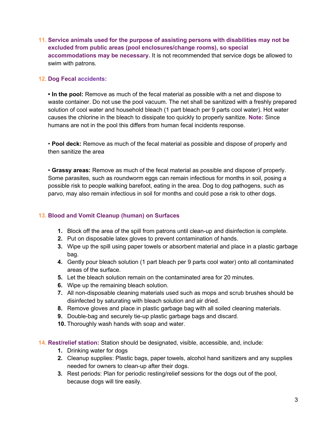**11. Service animals used for the purpose of assisting persons with disabilities may not be excluded from public areas (pool enclosures/change rooms), so special accommodations may be necessary.** It is not recommended that service dogs be allowed to swim with patrons.

#### **12. Dog Fecal accidents:**

**• In the pool:** Remove as much of the fecal material as possible with a net and dispose to waste container. Do not use the pool vacuum. The net shall be sanitized with a freshly prepared solution of cool water and household bleach (1 part bleach per 9 parts cool water). Hot water causes the chlorine in the bleach to dissipate too quickly to properly sanitize. **Note:** Since humans are not in the pool this differs from human fecal incidents response.

• **Pool deck:** Remove as much of the fecal material as possible and dispose of properly and then sanitize the area

• **Grassy areas:** Remove as much of the fecal material as possible and dispose of properly. Some parasites, such as roundworm eggs can remain infectious for months in soil, posing a possible risk to people walking barefoot, eating in the area. Dog to dog pathogens, such as parvo, may also remain infectious in soil for months and could pose a risk to other dogs.

#### **13. Blood and Vomit Cleanup (human) on Surfaces**

- **1.** Block off the area of the spill from patrons until clean-up and disinfection is complete.
- **2.** Put on disposable latex gloves to prevent contamination of hands.
- **3.** Wipe up the spill using paper towels or absorbent material and place in a plastic garbage bag.
- **4.** Gently pour bleach solution (1 part bleach per 9 parts cool water) onto all contaminated areas of the surface.
- **5.** Let the bleach solution remain on the contaminated area for 20 minutes.
- **6.** Wipe up the remaining bleach solution.
- **7.** All non-disposable cleaning materials used such as mops and scrub brushes should be disinfected by saturating with bleach solution and air dried.
- **8.** Remove gloves and place in plastic garbage bag with all soiled cleaning materials.
- **9.** Double-bag and securely tie-up plastic garbage bags and discard.
- **10.** Thoroughly wash hands with soap and water.

**14. Rest/relief station:** Station should be designated, visible, accessible, and, include:

- **1.** Drinking water for dogs
- **2.** Cleanup supplies: Plastic bags, paper towels, alcohol hand sanitizers and any supplies needed for owners to clean-up after their dogs.
- **3.** Rest periods: Plan for periodic resting/relief sessions for the dogs out of the pool, because dogs will tire easily.